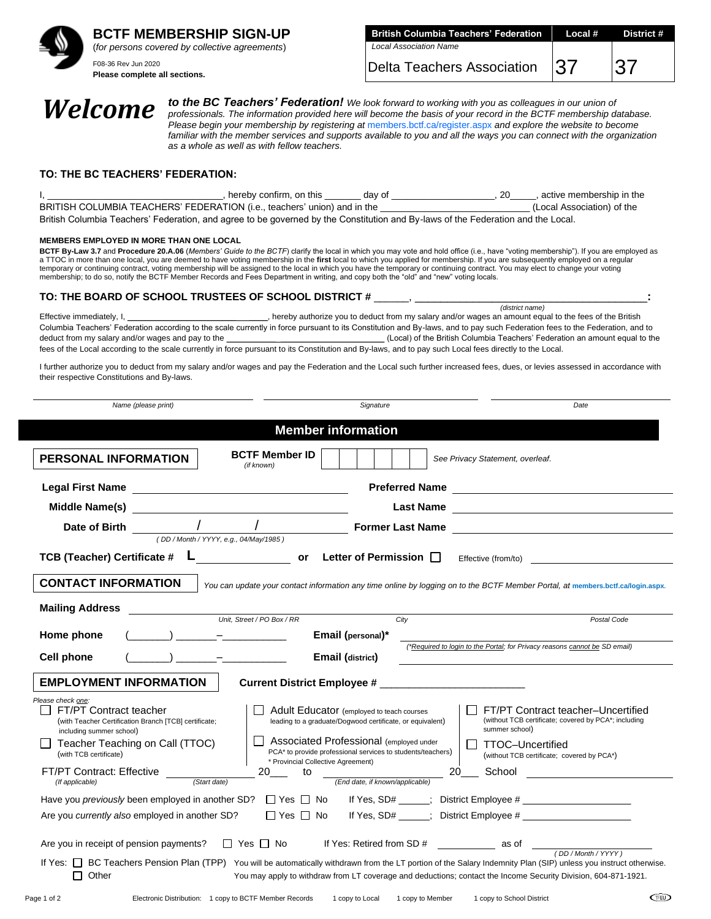

**BCTF MEMBERSHIP SIGN-UP** (*for persons covered by collective agreements*)

F08-36 Rev Jun 2020 **Please complete all sections.**

| <b>British Columbia Teachers' Federation Local #</b> | District # |
|------------------------------------------------------|------------|
| <b>Local Association Name</b>                        |            |
| Delta Teachers Association 37                        | 37         |

**Welcome** *to the BC Teachers' Federation!* We look forward to working with you as colleagues in our union of professionals. The information provided here will become the basis of your record in the BCTF membership d *professionals. The information provided here will become the basis of your record in the BCTF membership database. Please begin your membership by registering at* [members.bctf.ca/register.aspx](https://members.bctf.ca/login.aspx?ReturnUrl=https%3a%2f%2fwww.bctf.ca%2f%2fmybctf%2f) *and explore the website to become*  familiar with the member services and supports available to you and all the ways you can connect with the organization *as a whole as well as with fellow teachers.*

### **TO: THE BC TEACHERS' FEDERATION:**

| hereby confirm, on this day of                                                                                                   | , active membership in the |
|----------------------------------------------------------------------------------------------------------------------------------|----------------------------|
| BRITISH COLUMBIA TEACHERS' FEDERATION (i.e., teachers' union) and in the                                                         | (Local Association) of the |
| British Columbia Teachers' Federation, and agree to be governed by the Constitution and By-laws of the Federation and the Local. |                            |

#### **MEMBERS EMPLOYED IN MORE THAN ONE LOCAL**

**BCTF By-Law 3.7** and **Procedure 20.A.06** (*Members' Guide to the BCTF*) clarify the local in which you may vote and hold office (i.e., have "voting membership"). If you are employed as a TTOC in more than one local, you are deemed to have voting membership in the **first** local to which you applied for membership. If you are subsequently employed on a regular temporary or continuing contract, voting membership will be assigned to the local in which you have the temporary or continuing contract. You may elect to change your voting<br>membership; to do so, notify the BCTF Member Rec

### **TO: THE BOARD OF SCHOOL TRUSTEES OF SCHOOL DISTRICT #** \_\_\_\_\_\_, \_\_\_\_\_\_\_\_\_\_\_\_\_\_\_\_\_\_\_\_\_\_\_\_\_\_\_\_\_\_\_\_\_\_\_\_**:**

*(district name)* Effective immediately, I, \_\_\_\_\_\_\_\_\_\_\_\_\_\_\_\_\_\_\_\_\_\_\_\_\_\_\_\_\_\_, hereby authorize you to deduct from my salary and/or wages an amount equal to the fees of the British Columbia Teachers' Federation according to the scale currently in force pursuant to its Constitution and By-laws, and to pay such Federation fees to the Federation, and to deduct from my salary and/or wages and pay to the \_\_\_\_\_\_\_\_\_\_\_ \_\_\_\_\_\_\_\_\_\_\_\_\_\_\_\_\_\_\_\_\_\_\_ (Local) of the British Columbia Teachers' Federation an amount equal to the fees of the Local according to the scale currently in force pursuant to its Constitution and By-laws, and to pay such Local fees directly to the Local.

I further authorize you to deduct from my salary and/or wages and pay the Federation and the Local such further increased fees, dues, or levies assessed in accordance with their respective Constitutions and By-laws.

| Name (please print)                                                                                                                                                                                                            | Signature                                                                                                                                                                                                                                                                                                                             | Date                                                                                                                                                                                                                                                                                                                                                                                                                              |  |  |  |
|--------------------------------------------------------------------------------------------------------------------------------------------------------------------------------------------------------------------------------|---------------------------------------------------------------------------------------------------------------------------------------------------------------------------------------------------------------------------------------------------------------------------------------------------------------------------------------|-----------------------------------------------------------------------------------------------------------------------------------------------------------------------------------------------------------------------------------------------------------------------------------------------------------------------------------------------------------------------------------------------------------------------------------|--|--|--|
| <b>Member information</b>                                                                                                                                                                                                      |                                                                                                                                                                                                                                                                                                                                       |                                                                                                                                                                                                                                                                                                                                                                                                                                   |  |  |  |
| PERSONAL INFORMATION                                                                                                                                                                                                           | <b>BCTF Member ID</b><br>(if known)                                                                                                                                                                                                                                                                                                   | See Privacy Statement, overleaf.                                                                                                                                                                                                                                                                                                                                                                                                  |  |  |  |
|                                                                                                                                                                                                                                |                                                                                                                                                                                                                                                                                                                                       | Preferred Name                                                                                                                                                                                                                                                                                                                                                                                                                    |  |  |  |
| Middle Name(s) and the contract of the contract of the contract of the contract of the contract of the contract of the contract of the contract of the contract of the contract of the contract of the contract of the contrac | <b>Last Name</b>                                                                                                                                                                                                                                                                                                                      | <u> 1980 - John Stein, Amerikaansk politiker (</u>                                                                                                                                                                                                                                                                                                                                                                                |  |  |  |
|                                                                                                                                                                                                                                | Date of Birth $\frac{1}{(DD/Month/YYYY, e.g., 04/May/1985)}$                                                                                                                                                                                                                                                                          | Former Last Name                                                                                                                                                                                                                                                                                                                                                                                                                  |  |  |  |
|                                                                                                                                                                                                                                | TCB (Teacher) Certificate $\#$ L<br>TCB (Teacher) Certificate $\#$ L<br>Community Contract Certificate $\#$                                                                                                                                                                                                                           | Effective (from/to)                                                                                                                                                                                                                                                                                                                                                                                                               |  |  |  |
| <b>CONTACT INFORMATION</b><br>You can update your contact information any time online by logging on to the BCTF Member Portal, at members.bctf.ca/login.aspx.<br><b>Mailing Address</b>                                        |                                                                                                                                                                                                                                                                                                                                       |                                                                                                                                                                                                                                                                                                                                                                                                                                   |  |  |  |
|                                                                                                                                                                                                                                | Unit, Street / PO Box / RR<br>City                                                                                                                                                                                                                                                                                                    | Postal Code                                                                                                                                                                                                                                                                                                                                                                                                                       |  |  |  |
| Home phone                                                                                                                                                                                                                     | $(\hspace{2mm}\underline{\hspace{2mm}})$ $\hspace{2mm} \hspace{2mm} \hspace{2mm} \hspace{2mm} \hspace{2mm} \hspace{2mm} \hspace{2mm} \hspace{2mm} \hspace{2mm} \hspace{2mm} \hspace{2mm} \hspace{2mm} \hspace{2mm} \hspace{2mm} \hspace{2mm} \hspace{2mm} \hspace{2mm} \hspace{2mm} \hspace{2mm} \hspace{2mm} \$<br>Email (personal)* | (*Required to login to the Portal; for Privacy reasons cannot be SD email)                                                                                                                                                                                                                                                                                                                                                        |  |  |  |
| <b>Cell phone</b>                                                                                                                                                                                                              | <b>Email (district)</b>                                                                                                                                                                                                                                                                                                               |                                                                                                                                                                                                                                                                                                                                                                                                                                   |  |  |  |
| <b>EMPLOYMENT INFORMATION</b>                                                                                                                                                                                                  |                                                                                                                                                                                                                                                                                                                                       |                                                                                                                                                                                                                                                                                                                                                                                                                                   |  |  |  |
| Please check one:<br>FT/PT Contract teacher<br>(with Teacher Certification Branch [TCB] certificate;<br>including summer school)<br>Teacher Teaching on Call (TTOC)<br>(with TCB certificate)<br>FT/PT Contract: Effective     | Adult Educator (employed to teach courses<br>leading to a graduate/Dogwood certificate, or equivalent)<br>Associated Professional (employed under<br>PCA* to provide professional services to students/teachers)<br>* Provincial Collective Agreement)<br>20<br>to                                                                    | FT/PT Contract teacher-Uncertified<br>(without TCB certificate; covered by PCA*; including<br>summer school)<br><b>TTOC-Uncertified</b><br>(without TCB certificate; covered by PCA*)<br>20 <sub>___</sub> School and the set of the set of the set of the set of the set of the set of the set of the set of the set of the set of the set of the set of the set of the set of the set of the set of the set of the set of the s |  |  |  |
| (Start date)<br>(End date, if known/applicable)<br>(If applicable)                                                                                                                                                             |                                                                                                                                                                                                                                                                                                                                       |                                                                                                                                                                                                                                                                                                                                                                                                                                   |  |  |  |
| $\Box$ Yes $\Box$ No<br>Are you <i>currently also</i> employed in another SD?                                                                                                                                                  |                                                                                                                                                                                                                                                                                                                                       |                                                                                                                                                                                                                                                                                                                                                                                                                                   |  |  |  |
| Are you in receipt of pension payments?                                                                                                                                                                                        | $\Box$ Yes $\Box$ No If Yes: Retired from SD # as of $\Box$ (DD/Month/YYYY)<br>If Yes: [ BC Teachers Pension Plan (TPP) You will be automatically withdrawn from the LT portion of the Salary Indemnity Plan (SIP) unless you instruct otherwise.                                                                                     |                                                                                                                                                                                                                                                                                                                                                                                                                                   |  |  |  |
| Other                                                                                                                                                                                                                          | You may apply to withdraw from LT coverage and deductions; contact the Income Security Division, 604-871-1921.                                                                                                                                                                                                                        |                                                                                                                                                                                                                                                                                                                                                                                                                                   |  |  |  |